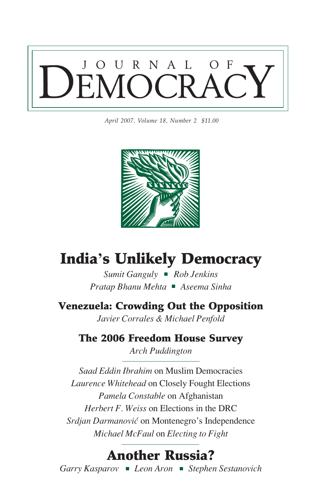

*April 2007, Volume 18, Number 2 \$11.00*



# **India's Unlikely Democracy**

*Sumit Ganguly Rob Jenkins Pratap Bhanu Mehta Aseema Sinha*

## **Venezuela: Crowding Out the Opposition**

*Javier Corrales & Michael Penfold*

## **The 2006 Freedom House Survey**

*Arch Puddington*

*Saad Eddin Ibrahim* on Muslim Democracies *Laurence Whitehead* on Closely Fought Elections *Pamela Constable* on Afghanistan *Herbert F. Weiss* on Elections in the DRC Srdjan Darmanović on Montenegro's Independence *Michael McFaul* on *Electing to Fight*

## **Another Russia?**

*Garry Kasparov Leon Aron Stephen Sestanovich*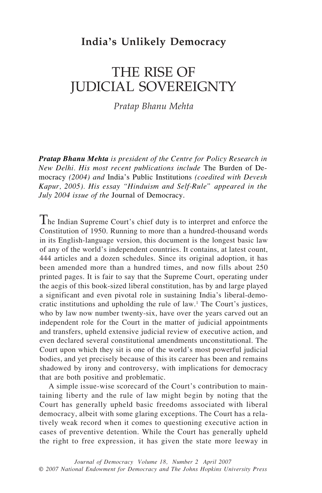### **India's Unlikely Democracy**

## THE RISE OF JUDICIAL SOVEREIGNTY

*Pratap Bhanu Mehta*

*Pratap Bhanu Mehta is president of the Centre for Policy Research in New Delhi. His most recent publications include* The Burden of Democracy *(2004) and* India's Public Institutions *(coedited with Devesh Kapur, 2005). His essay "Hinduism and Self-Rule" appeared in the July 2004 issue of the* Journal of Democracy.

The Indian Supreme Court's chief duty is to interpret and enforce the Constitution of 1950. Running to more than a hundred-thousand words in its English-language version, this document is the longest basic law of any of the world's independent countries. It contains, at latest count, 444 articles and a dozen schedules. Since its original adoption, it has been amended more than a hundred times, and now fills about 250 printed pages. It is fair to say that the Supreme Court, operating under the aegis of this book-sized liberal constitution, has by and large played a significant and even pivotal role in sustaining India's liberal-democratic institutions and upholding the rule of law.<sup>1</sup> The Court's justices, who by law now number twenty-six, have over the years carved out an independent role for the Court in the matter of judicial appointments and transfers, upheld extensive judicial review of executive action, and even declared several constitutional amendments unconstitutional. The Court upon which they sit is one of the world's most powerful judicial bodies, and yet precisely because of this its career has been and remains shadowed by irony and controversy, with implications for democracy that are both positive and problematic.

A simple issue-wise scorecard of the Court's contribution to maintaining liberty and the rule of law might begin by noting that the Court has generally upheld basic freedoms associated with liberal democracy, albeit with some glaring exceptions. The Court has a relatively weak record when it comes to questioning executive action in cases of preventive detention. While the Court has generally upheld the right to free expression, it has given the state more leeway in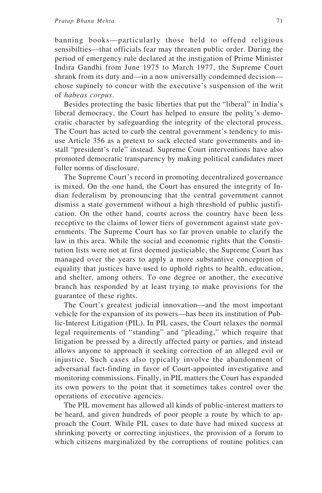banning books—particularly those held to offend religious sensibilties—that officials fear may threaten public order. During the period of emergency rule declared at the instigation of Prime Minister Indira Gandhi from June 1975 to March 1977, the Supreme Court shrank from its duty and—in a now universally condemned decision chose supinely to concur with the executive's suspension of the writ of *habeas corpus.*

Besides protecting the basic liberties that put the "liberal" in India's liberal democracy, the Court has helped to ensure the polity's democratic character by safeguarding the integrity of the electoral process. The Court has acted to curb the central government's tendency to misuse Article 356 as a pretext to sack elected state governments and install "president's rule" instead. Supreme Court interventions have also promoted democratic transparency by making political candidates meet fuller norms of disclosure.

The Supreme Court's record in promoting decentralized governance is mixed. On the one hand, the Court has ensured the integrity of Indian federalism by pronouncing that the central government cannot dismiss a state government without a high threshold of public justification. On the other hand, courts across the country have been less receptive to the claims of lower tiers of government against state governments. The Supreme Court has so far proven unable to clarify the law in this area. While the social and economic rights that the Constitution lists were not at first deemed justiciable, the Supreme Court has managed over the years to apply a more substantive conception of equality that justices have used to uphold rights to health, education, and shelter, among others. To one degree or another, the executive branch has responded by at least trying to make provisions for the guarantee of these rights.

The Court's greatest judicial innovation—and the most important vehicle for the expansion of its powers—has been its institution of Public-Interest Litigation (PIL). In PIL cases, the Court relaxes the normal legal requirements of "standing" and "pleading," which require that litigation be pressed by a directly affected party or parties, and instead allows anyone to approach it seeking correction of an alleged evil or injustice. Such cases also typically involve the abandonment of adversarial fact-finding in favor of Court-appointed investigative and monitoring commissions. Finally, in PIL matters the Court has expanded its own powers to the point that it sometimes takes control over the operations of executive agencies.

The PIL movement has allowed all kinds of public-interest matters to be heard, and given hundreds of poor people a route by which to approach the Court. While PIL cases to date have had mixed success at shrinking poverty or correcting injustices, the provision of a forum to which citizens marginalized by the corruptions of routine politics can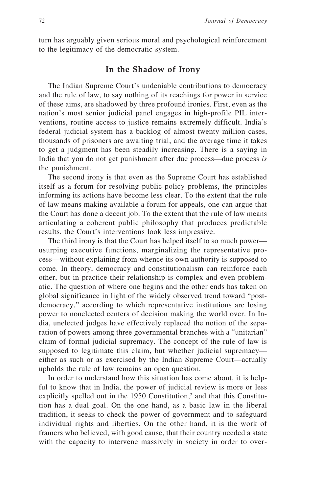turn has arguably given serious moral and psychological reinforcement to the legitimacy of the democratic system.

### **In the Shadow of Irony**

The Indian Supreme Court's undeniable contributions to democracy and the rule of law, to say nothing of its reachings for power in service of these aims, are shadowed by three profound ironies. First, even as the nation's most senior judicial panel engages in high-profile PIL interventions, routine access to justice remains extremely difficult. India's federal judicial system has a backlog of almost twenty million cases, thousands of prisoners are awaiting trial, and the average time it takes to get a judgment has been steadily increasing. There is a saying in India that you do not get punishment after due process—due process *is* the punishment.

The second irony is that even as the Supreme Court has established itself as a forum for resolving public-policy problems, the principles informing its actions have become less clear. To the extent that the rule of law means making available a forum for appeals, one can argue that the Court has done a decent job. To the extent that the rule of law means articulating a coherent public philosophy that produces predictable results, the Court's interventions look less impressive.

The third irony is that the Court has helped itself to so much power usurping executive functions, marginalizing the representative process—without explaining from whence its own authority is supposed to come. In theory, democracy and constitutionalism can reinforce each other, but in practice their relationship is complex and even problematic. The question of where one begins and the other ends has taken on global significance in light of the widely observed trend toward "postdemocracy," according to which representative institutions are losing power to nonelected centers of decision making the world over. In India, unelected judges have effectively replaced the notion of the separation of powers among three governmental branches with a "unitarian" claim of formal judicial supremacy. The concept of the rule of law is supposed to legitimate this claim, but whether judicial supremacy either as such or as exercised by the Indian Supreme Court—actually upholds the rule of law remains an open question.

In order to understand how this situation has come about, it is helpful to know that in India, the power of judicial review is more or less explicitly spelled out in the 1950 Constitution,<sup>2</sup> and that this Constitution has a dual goal. On the one hand, as a basic law in the liberal tradition, it seeks to check the power of government and to safeguard individual rights and liberties. On the other hand, it is the work of framers who believed, with good cause, that their country needed a state with the capacity to intervene massively in society in order to over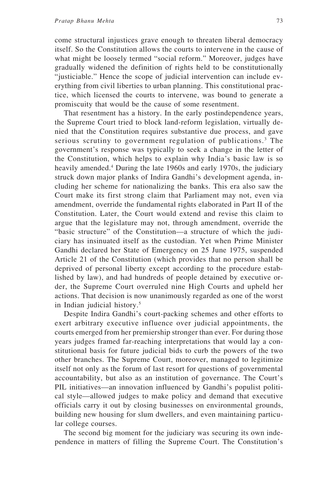come structural injustices grave enough to threaten liberal democracy itself. So the Constitution allows the courts to intervene in the cause of what might be loosely termed "social reform." Moreover, judges have gradually widened the definition of rights held to be constitutionally "justiciable." Hence the scope of judicial intervention can include everything from civil liberties to urban planning. This constitutional practice, which licensed the courts to intervene, was bound to generate a promiscuity that would be the cause of some resentment.

That resentment has a history. In the early postindependence years, the Supreme Court tried to block land-reform legislation, virtually denied that the Constitution requires substantive due process, and gave serious scrutiny to government regulation of publications.<sup>3</sup> The government's response was typically to seek a change in the letter of the Constitution, which helps to explain why India's basic law is so heavily amended.<sup>4</sup> During the late 1960s and early 1970s, the judiciary struck down major planks of Indira Gandhi's development agenda, including her scheme for nationalizing the banks. This era also saw the Court make its first strong claim that Parliament may not, even via amendment, override the fundamental rights elaborated in Part II of the Constitution. Later, the Court would extend and revise this claim to argue that the legislature may not, through amendment, override the "basic structure" of the Constitution—a structure of which the judiciary has insinuated itself as the custodian. Yet when Prime Minister Gandhi declared her State of Emergency on 25 June 1975, suspended Article 21 of the Constitution (which provides that no person shall be deprived of personal liberty except according to the procedure established by law), and had hundreds of people detained by executive order, the Supreme Court overruled nine High Courts and upheld her actions. That decision is now unanimously regarded as one of the worst in Indian judicial history.5

Despite Indira Gandhi's court-packing schemes and other efforts to exert arbitrary executive influence over judicial appointments, the courts emerged from her premiership stronger than ever. For during those years judges framed far-reaching interpretations that would lay a constitutional basis for future judicial bids to curb the powers of the two other branches. The Supreme Court, moreover, managed to legitimize itself not only as the forum of last resort for questions of governmental accountability, but also as an institution of governance. The Court's PIL initiatives—an innovation influenced by Gandhi's populist political style—allowed judges to make policy and demand that executive officials carry it out by closing businesses on environmental grounds, building new housing for slum dwellers, and even maintaining particular college courses.

The second big moment for the judiciary was securing its own independence in matters of filling the Supreme Court. The Constitution's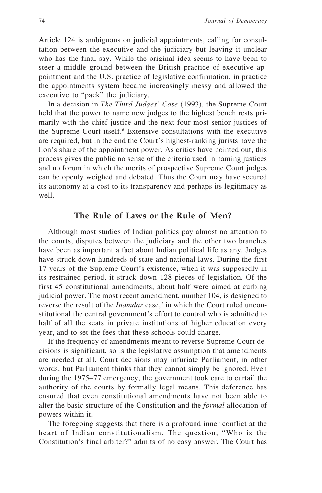Article 124 is ambiguous on judicial appointments, calling for consultation between the executive and the judiciary but leaving it unclear who has the final say. While the original idea seems to have been to steer a middle ground between the British practice of executive appointment and the U.S. practice of legislative confirmation, in practice the appointments system became increasingly messy and allowed the executive to "pack" the judiciary.

In a decision in *The Third Judges' Case* (1993), the Supreme Court held that the power to name new judges to the highest bench rests primarily with the chief justice and the next four most-senior justices of the Supreme Court itself.<sup>6</sup> Extensive consultations with the executive are required, but in the end the Court's highest-ranking jurists have the lion's share of the appointment power. As critics have pointed out, this process gives the public no sense of the criteria used in naming justices and no forum in which the merits of prospective Supreme Court judges can be openly weighed and debated. Thus the Court may have secured its autonomy at a cost to its transparency and perhaps its legitimacy as well.

#### **The Rule of Laws or the Rule of Men?**

Although most studies of Indian politics pay almost no attention to the courts, disputes between the judiciary and the other two branches have been as important a fact about Indian political life as any. Judges have struck down hundreds of state and national laws. During the first 17 years of the Supreme Court's existence, when it was supposedly in its restrained period, it struck down 128 pieces of legislation. Of the first 45 constitutional amendments, about half were aimed at curbing judicial power. The most recent amendment, number 104, is designed to reverse the result of the *Inamdar* case,<sup>7</sup> in which the Court ruled unconstitutional the central government's effort to control who is admitted to half of all the seats in private institutions of higher education every year, and to set the fees that these schools could charge.

If the frequency of amendments meant to reverse Supreme Court decisions is significant, so is the legislative assumption that amendments are needed at all. Court decisions may infuriate Parliament, in other words, but Parliament thinks that they cannot simply be ignored. Even during the 1975–77 emergency, the government took care to curtail the authority of the courts by formally legal means. This deference has ensured that even constitutional amendments have not been able to alter the basic structure of the Constitution and the *formal* allocation of powers within it.

The foregoing suggests that there is a profound inner conflict at the heart of Indian constitutionalism. The question, "Who is the Constitution's final arbiter?" admits of no easy answer. The Court has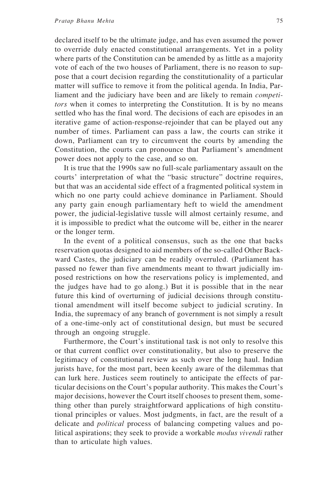declared itself to be the ultimate judge, and has even assumed the power to override duly enacted constitutional arrangements. Yet in a polity where parts of the Constitution can be amended by as little as a majority vote of each of the two houses of Parliament, there is no reason to suppose that a court decision regarding the constitutionality of a particular matter will suffice to remove it from the political agenda. In India, Parliament and the judiciary have been and are likely to remain *competitors* when it comes to interpreting the Constitution. It is by no means settled who has the final word. The decisions of each are episodes in an iterative game of action-response-rejoinder that can be played out any number of times. Parliament can pass a law, the courts can strike it down, Parliament can try to circumvent the courts by amending the Constitution, the courts can pronounce that Parliament's amendment power does not apply to the case, and so on.

It is true that the 1990s saw no full-scale parliamentary assault on the courts' interpretation of what the "basic structure" doctrine requires, but that was an accidental side effect of a fragmented political system in which no one party could achieve dominance in Parliament. Should any party gain enough parliamentary heft to wield the amendment power, the judicial-legislative tussle will almost certainly resume, and it is impossible to predict what the outcome will be, either in the nearer or the longer term.

In the event of a political consensus, such as the one that backs reservation quotas designed to aid members of the so-called Other Backward Castes, the judiciary can be readily overruled. (Parliament has passed no fewer than five amendments meant to thwart judicially imposed restrictions on how the reservations policy is implemented, and the judges have had to go along.) But it is possible that in the near future this kind of overturning of judicial decisions through constitutional amendment will itself become subject to judicial scrutiny. In India, the supremacy of any branch of government is not simply a result of a one-time-only act of constitutional design, but must be secured through an ongoing struggle.

Furthermore, the Court's institutional task is not only to resolve this or that current conflict over constitutionality, but also to preserve the legitimacy of constitutional review as such over the long haul. Indian jurists have, for the most part, been keenly aware of the dilemmas that can lurk here. Justices seem routinely to anticipate the effects of particular decisions on the Court's popular authority. This makes the Court's major decisions, however the Court itself chooses to present them, something other than purely straightforward applications of high constitutional principles or values. Most judgments, in fact, are the result of a delicate and *political* process of balancing competing values and political aspirations; they seek to provide a workable *modus vivendi* rather than to articulate high values.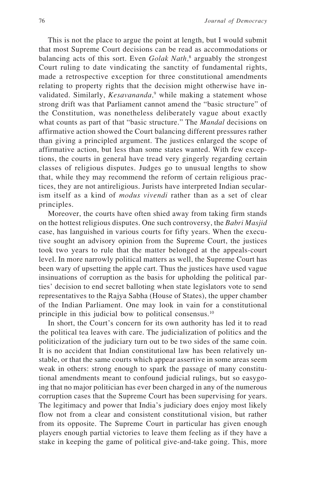This is not the place to argue the point at length, but I would submit that most Supreme Court decisions can be read as accommodations or balancing acts of this sort. Even *Golak Nath,*<sup>8</sup> arguably the strongest Court ruling to date vindicating the sanctity of fundamental rights, made a retrospective exception for three constitutional amendments relating to property rights that the decision might otherwise have invalidated. Similarly, *Kesavananda*,<sup>9</sup> while making a statement whose strong drift was that Parliament cannot amend the "basic structure" of the Constitution, was nonetheless deliberately vague about exactly what counts as part of that "basic structure." The *Mandal* decisions on affirmative action showed the Court balancing different pressures rather than giving a principled argument. The justices enlarged the scope of affirmative action, but less than some states wanted. With few exceptions, the courts in general have tread very gingerly regarding certain classes of religious disputes. Judges go to unusual lengths to show that, while they may recommend the reform of certain religious practices, they are not antireligious. Jurists have interpreted Indian secularism itself as a kind of *modus vivendi* rather than as a set of clear principles.

Moreover, the courts have often shied away from taking firm stands on the hottest religious disputes. One such controversy, the *Babri Masjid* case, has languished in various courts for fifty years. When the executive sought an advisory opinion from the Supreme Court, the justices took two years to rule that the matter belonged at the appeals-court level. In more narrowly political matters as well, the Supreme Court has been wary of upsetting the apple cart. Thus the justices have used vague insinuations of corruption as the basis for upholding the political parties' decision to end secret balloting when state legislators vote to send representatives to the Rajya Sabha (House of States), the upper chamber of the Indian Parliament. One may look in vain for a constitutional principle in this judicial bow to political consensus.<sup>10</sup>

In short, the Court's concern for its own authority has led it to read the political tea leaves with care. The judicialization of politics and the politicization of the judiciary turn out to be two sides of the same coin. It is no accident that Indian constitutional law has been relatively unstable, or that the same courts which appear assertive in some areas seem weak in others: strong enough to spark the passage of many constitutional amendments meant to confound judicial rulings, but so easygoing that no major politician has ever been charged in any of the numerous corruption cases that the Supreme Court has been supervising for years. The legitimacy and power that India's judiciary does enjoy most likely flow not from a clear and consistent constitutional vision, but rather from its opposite. The Supreme Court in particular has given enough players enough partial victories to leave them feeling as if they have a stake in keeping the game of political give-and-take going. This, more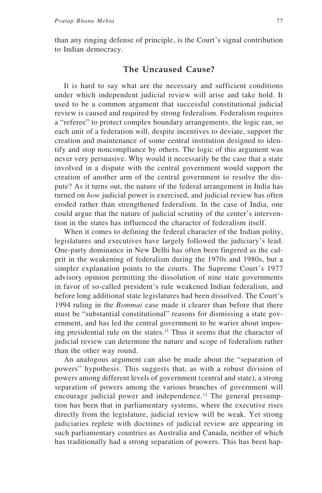than any ringing defense of principle, is the Court's signal contribution to Indian democracy.

#### **The Uncaused Cause?**

It is hard to say what are the necessary and sufficient conditions under which independent judicial review will arise and take hold. It used to be a common argument that successful constitutional judicial review is caused and required by strong federalism. Federalism requires a "referee" to protect complex boundary arrangements, the logic ran, so each unit of a federation will, despite incentives to deviate, support the creation and maintenance of some central institution designed to identify and stop noncompliance by others. The logic of this argument was never very persuasive. Why would it necessarily be the case that a state involved in a dispute with the central government would support the creation of another arm of the central government to resolve the dispute? As it turns out, the nature of the federal arrangement in India has turned on *how* judicial power is exercised, and judicial review has often eroded rather than strengthened federalism. In the case of India, one could argue that the nature of judicial scrutiny of the center's intervention in the states has influenced the character of federalism itself.

When it comes to defining the federal character of the Indian polity, legislatures and executives have largely followed the judiciary's lead. One-party dominance in New Delhi has often been fingered as the culprit in the weakening of federalism during the 1970s and 1980s, but a simpler explanation points to the courts. The Supreme Court's 1977 advisory opinion permitting the dissolution of nine state governments in favor of so-called president's rule weakened Indian federalism, and before long additional state legislatures had been dissolved. The Court's 1994 ruling in the *Bommai* case made it clearer than before that there must be "substantial constitutional" reasons for dismissing a state government, and has led the central government to be warier about imposing presidential rule on the states.<sup>11</sup> Thus it seems that the character of judicial review can determine the nature and scope of federalism rather than the other way round.

An analogous argument can also be made about the "separation of powers" hypothesis. This suggests that, as with a robust division of powers among different levels of government (central and state), a strong separation of powers among the various branches of government will encourage judicial power and independence.<sup>12</sup> The general presumption has been that in parliamentary systems, where the executive rises directly from the legislature, judicial review will be weak. Yet strong judiciaries replete with doctrines of judicial review are appearing in such parliamentary countries as Australia and Canada, neither of which has traditionally had a strong separation of powers. This has been hap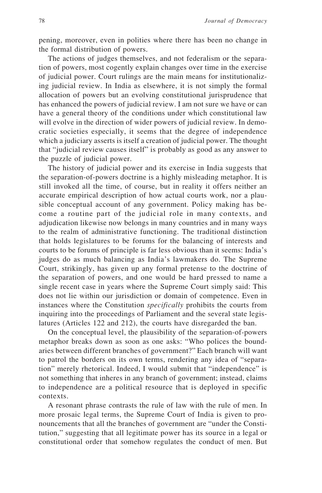pening, moreover, even in polities where there has been no change in the formal distribution of powers.

The actions of judges themselves, and not federalism or the separation of powers, most cogently explain changes over time in the exercise of judicial power. Court rulings are the main means for institutionalizing judicial review. In India as elsewhere, it is not simply the formal allocation of powers but an evolving constitutional jurisprudence that has enhanced the powers of judicial review. I am not sure we have or can have a general theory of the conditions under which constitutional law will evolve in the direction of wider powers of judicial review. In democratic societies especially, it seems that the degree of independence which a judiciary asserts is itself a creation of judicial power. The thought that "judicial review causes itself" is probably as good as any answer to the puzzle of judicial power.

The history of judicial power and its exercise in India suggests that the separation-of-powers doctrine is a highly misleading metaphor. It is still invoked all the time, of course, but in reality it offers neither an accurate empirical description of how actual courts work, nor a plausible conceptual account of any government. Policy making has become a routine part of the judicial role in many contexts, and adjudication likewise now belongs in many countries and in many ways to the realm of administrative functioning. The traditional distinction that holds legislatures to be forums for the balancing of interests and courts to be forums of principle is far less obvious than it seems: India's judges do as much balancing as India's lawmakers do. The Supreme Court, strikingly, has given up any formal pretense to the doctrine of the separation of powers, and one would be hard pressed to name a single recent case in years where the Supreme Court simply said: This does not lie within our jurisdiction or domain of competence. Even in instances where the Constitution *specifically* prohibits the courts from inquiring into the proceedings of Parliament and the several state legislatures (Articles 122 and 212), the courts have disregarded the ban.

On the conceptual level, the plausibility of the separation-of-powers metaphor breaks down as soon as one asks: "Who polices the boundaries between different branches of government?" Each branch will want to patrol the borders on its own terms, rendering any idea of "separation" merely rhetorical. Indeed, I would submit that "independence" is not something that inheres in any branch of government; instead, claims to independence are a political resource that is deployed in specific contexts.

A resonant phrase contrasts the rule of law with the rule of men. In more prosaic legal terms, the Supreme Court of India is given to pronouncements that all the branches of government are "under the Constitution," suggesting that all legitimate power has its source in a legal or constitutional order that somehow regulates the conduct of men. But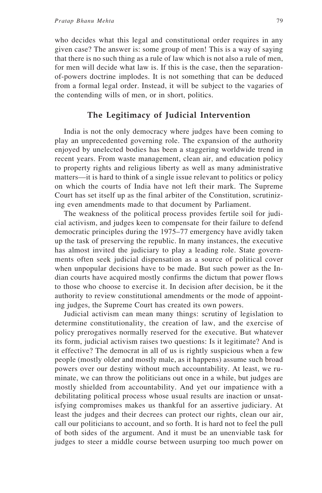who decides what this legal and constitutional order requires in any given case? The answer is: some group of men! This is a way of saying that there is no such thing as a rule of law which is not also a rule of men, for men will decide what law is. If this is the case, then the separationof-powers doctrine implodes. It is not something that can be deduced from a formal legal order. Instead, it will be subject to the vagaries of the contending wills of men, or in short, politics.

### **The Legitimacy of Judicial Intervention**

India is not the only democracy where judges have been coming to play an unprecedented governing role. The expansion of the authority enjoyed by unelected bodies has been a staggering worldwide trend in recent years. From waste management, clean air, and education policy to property rights and religious liberty as well as many administrative matters—it is hard to think of a single issue relevant to politics or policy on which the courts of India have not left their mark. The Supreme Court has set itself up as the final arbiter of the Constitution, scrutinizing even amendments made to that document by Parliament.

The weakness of the political process provides fertile soil for judicial activism, and judges keen to compensate for their failure to defend democratic principles during the 1975–77 emergency have avidly taken up the task of preserving the republic. In many instances, the executive has almost invited the judiciary to play a leading role. State governments often seek judicial dispensation as a source of political cover when unpopular decisions have to be made. But such power as the Indian courts have acquired mostly confirms the dictum that power flows to those who choose to exercise it. In decision after decision, be it the authority to review constitutional amendments or the mode of appointing judges, the Supreme Court has created its own powers.

Judicial activism can mean many things: scrutiny of legislation to determine constitutionality, the creation of law, and the exercise of policy prerogatives normally reserved for the executive. But whatever its form, judicial activism raises two questions: Is it legitimate? And is it effective? The democrat in all of us is rightly suspicious when a few people (mostly older and mostly male, as it happens) assume such broad powers over our destiny without much accountability. At least, we ruminate, we can throw the politicians out once in a while, but judges are mostly shielded from accountability. And yet our impatience with a debilitating political process whose usual results are inaction or unsatisfying compromises makes us thankful for an assertive judiciary. At least the judges and their decrees can protect our rights, clean our air, call our politicians to account, and so forth. It is hard not to feel the pull of both sides of the argument. And it must be an unenviable task for judges to steer a middle course between usurping too much power on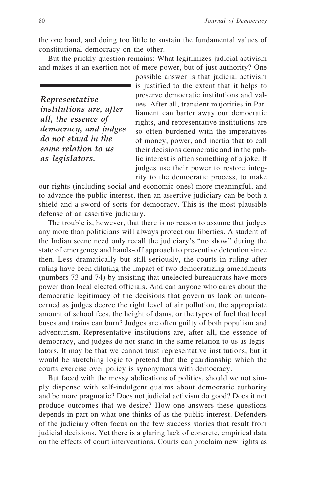the one hand, and doing too little to sustain the fundamental values of constitutional democracy on the other.

But the prickly question remains: What legitimizes judicial activism and makes it an exertion not of mere power, but of just authority? One

*Representative institutions are, after all, the essence of democracy, and judges do not stand in the same relation to us as legislators.*

possible answer is that judicial activism is justified to the extent that it helps to preserve democratic institutions and values. After all, transient majorities in Parliament can barter away our democratic rights, and representative institutions are so often burdened with the imperatives of money, power, and inertia that to call their decisions democratic and in the public interest is often something of a joke. If judges use their power to restore integrity to the democratic process, to make

our rights (including social and economic ones) more meaningful, and to advance the public interest, then an assertive judiciary can be both a shield and a sword of sorts for democracy. This is the most plausible defense of an assertive judiciary.

The trouble is, however, that there is no reason to assume that judges any more than politicians will always protect our liberties. A student of the Indian scene need only recall the judiciary's "no show" during the state of emergency and hands-off approach to preventive detention since then. Less dramatically but still seriously, the courts in ruling after ruling have been diluting the impact of two democratizing amendments (numbers 73 and 74) by insisting that unelected bureaucrats have more power than local elected officials. And can anyone who cares about the democratic legitimacy of the decisions that govern us look on unconcerned as judges decree the right level of air pollution, the appropriate amount of school fees, the height of dams, or the types of fuel that local buses and trains can burn? Judges are often guilty of both populism and adventurism. Representative institutions are, after all, the essence of democracy, and judges do not stand in the same relation to us as legislators. It may be that we cannot trust representative institutions, but it would be stretching logic to pretend that the guardianship which the courts exercise over policy is synonymous with democracy.

But faced with the messy abdications of politics, should we not simply dispense with self-indulgent qualms about democratic authority and be more pragmatic? Does not judicial activism do good? Does it not produce outcomes that we desire? How one answers these questions depends in part on what one thinks of as the public interest. Defenders of the judiciary often focus on the few success stories that result from judicial decisions. Yet there is a glaring lack of concrete, empirical data on the effects of court interventions. Courts can proclaim new rights as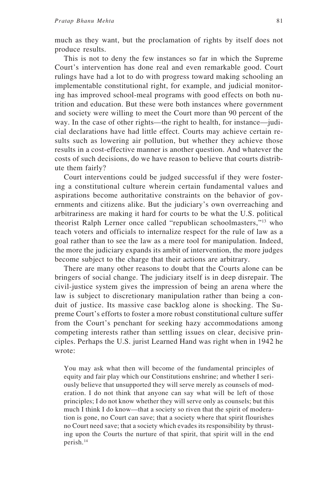much as they want, but the proclamation of rights by itself does not produce results.

This is not to deny the few instances so far in which the Supreme Court's intervention has done real and even remarkable good. Court rulings have had a lot to do with progress toward making schooling an implementable constitutional right, for example, and judicial monitoring has improved school-meal programs with good effects on both nutrition and education. But these were both instances where government and society were willing to meet the Court more than 90 percent of the way. In the case of other rights—the right to health, for instance—judicial declarations have had little effect. Courts may achieve certain results such as lowering air pollution, but whether they achieve those results in a cost-effective manner is another question. And whatever the costs of such decisions, do we have reason to believe that courts distribute them fairly?

Court interventions could be judged successful if they were fostering a constitutional culture wherein certain fundamental values and aspirations become authoritative constraints on the behavior of governments and citizens alike. But the judiciary's own overreaching and arbitrariness are making it hard for courts to be what the U.S. political theorist Ralph Lerner once called "republican schoolmasters,"13 who teach voters and officials to internalize respect for the rule of law as a goal rather than to see the law as a mere tool for manipulation. Indeed, the more the judiciary expands its ambit of intervention, the more judges become subject to the charge that their actions are arbitrary.

There are many other reasons to doubt that the Courts alone can be bringers of social change. The judiciary itself is in deep disrepair. The civil-justice system gives the impression of being an arena where the law is subject to discretionary manipulation rather than being a conduit of justice. Its massive case backlog alone is shocking. The Supreme Court's efforts to foster a more robust constitutional culture suffer from the Court's penchant for seeking hazy accommodations among competing interests rather than settling issues on clear, decisive principles. Perhaps the U.S. jurist Learned Hand was right when in 1942 he wrote:

You may ask what then will become of the fundamental principles of equity and fair play which our Constitutions enshrine; and whether I seriously believe that unsupported they will serve merely as counsels of moderation. I do not think that anyone can say what will be left of those principles; I do not know whether they will serve only as counsels; but this much I think I do know—that a society so riven that the spirit of moderation is gone, no Court can save; that a society where that spirit flourishes no Court need save; that a society which evades its responsibility by thrusting upon the Courts the nurture of that spirit, that spirit will in the end perish.14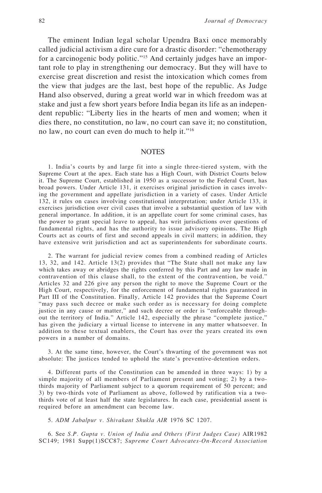The eminent Indian legal scholar Upendra Baxi once memorably called judicial activism a dire cure for a drastic disorder: "chemotherapy for a carcinogenic body politic."15 And certainly judges have an important role to play in strengthening our democracy. But they will have to exercise great discretion and resist the intoxication which comes from the view that judges are the last, best hope of the republic. As Judge Hand also observed, during a great world war in which freedom was at stake and just a few short years before India began its life as an independent republic: "Liberty lies in the hearts of men and women; when it dies there, no constitution, no law, no court can save it; no constitution, no law, no court can even do much to help it."16

#### **NOTES**

1. India's courts by and large fit into a single three-tiered system, with the Supreme Court at the apex. Each state has a High Court, with District Courts below it. The Supreme Court, established in 1950 as a successor to the Federal Court, has broad powers. Under Article 131, it exercises original jurisdiction in cases involving the government and appellate jurisdiction in a variety of cases. Under Article 132, it rules on cases involving constitutional interpretation; under Article 133, it exercises jurisdiction over civil cases that involve a substantial question of law with general importance. In addition, it is an appellate court for some criminal cases, has the power to grant special leave to appeal, has writ jurisdictions over questions of fundamental rights, and has the authority to issue advisory opinions. The High Courts act as courts of first and second appeals in civil matters; in addition, they have extensive writ jurisdiction and act as superintendents for subordinate courts.

2. The warrant for judicial review comes from a combined reading of Articles 13, 32, and 142. Article 13(2) provides that "The State shall not make any law which takes away or abridges the rights conferred by this Part and any law made in contravention of this clause shall, to the extent of the contravention, be void." Articles 32 and 226 give any person the right to move the Supreme Court or the High Court, respectively, for the enforcement of fundamental rights guaranteed in Part III of the Constitution. Finally, Article 142 provides that the Supreme Court "may pass such decree or make such order as is necessary for doing complete justice in any cause or matter," and such decree or order is "enforceable throughout the territory of India." Article 142, especially the phrase "complete justice," has given the judiciary a virtual license to intervene in any matter whatsoever. In addition to these textual enablers, the Court has over the years created its own powers in a number of domains.

3. At the same time, however, the Court's thwarting of the government was not absolute: The justices tended to uphold the state's preventive-detention orders.

4. Different parts of the Constitution can be amended in three ways: 1) by a simple majority of all members of Parliament present and voting; 2) by a twothirds majority of Parliament subject to a quorum requirement of 50 percent; and 3) by two-thirds vote of Parliament as above, followed by ratification via a twothirds vote of at least half the state legislatures. In each case, presidential assent is required before an amendment can become law.

5. *ADM Jabalpur v. Shivakant Shukla AIR* 1976 SC 1207.

6. See *S.P. Gupta v. Union of India and Others (First Judges Case)* AIR1982 SC149; 1981 Supp(1)SCC87; *Supreme Court Advocates-On-Record Association*